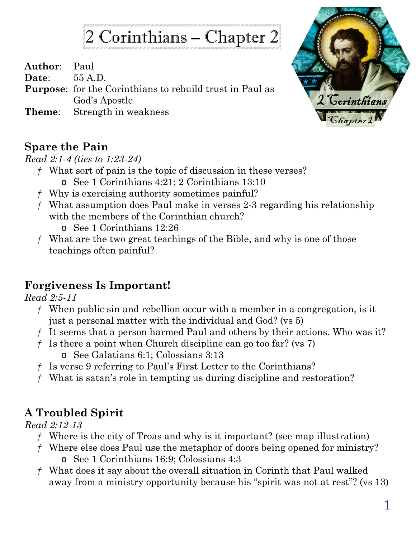# 2 Corinthians – Chapter 2

**Author**: Paul **Date**: 55 A.D. **Purpose**: for the Corinthians to rebuild trust in Paul as God's Apostle **Theme**: Strength in weakness



### **Spare the Pain**

*Read 2:1-4 (ties to 1:23-24)*

- *†* What sort of pain is the topic of discussion in these verses? o See 1 Corinthians 4:21; 2 Corinthians 13:10
- *†* Why is exercising authority sometimes painful?
- *†* What assumption does Paul make in verses 2-3 regarding his relationship with the members of the Corinthian church?

o See 1 Corinthians 12:26

*†* What are the two great teachings of the Bible, and why is one of those teachings often painful?

## **Forgiveness Is Important!**

*Read 2:5-11*

- *†* When public sin and rebellion occur with a member in a congregation, is it just a personal matter with the individual and God? (vs 5)
- *†* It seems that a person harmed Paul and others by their actions. Who was it?
- *†* Is there a point when Church discipline can go too far? (vs 7)
	- o See Galatians 6:1; Colossians 3:13
- *†* Is verse 9 referring to Paul's First Letter to the Corinthians?
- *†* What is satan's role in tempting us during discipline and restoration?

# **A Troubled Spirit**

*Read 2:12-13*

- *†* Where is the city of Troas and why is it important? (see map illustration)
- *†* Where else does Paul use the metaphor of doors being opened for ministry? o See 1 Corinthians 16:9; Colossians 4:3
- *†* What does it say about the overall situation in Corinth that Paul walked away from a ministry opportunity because his "spirit was not at rest"? (vs 13)